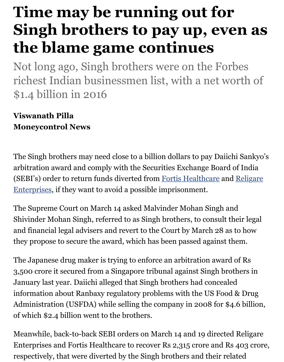## **the blame game continues**

Not long ago, Singh brothers were on the Forbe richest Indian businessmen list, with a net worth \$1.4 billion in 2016

## **Viswanath Pilla Moneycontrol News**

The Singh brothers may need close to a billion dollars to pay Daiichi S arbitration award and comply with the Securities Exchange Board of (SEBI's) order to return funds diverted from Fortis Healthcare and R Enterprises, if they want to avoid a possible imprisonment.

The Supreme Court on March 14 asked Malvinder Mohan Singh and Shivinder Mohan Singh, referred to as Singh brothers, to consult their and financial legal advisers and revert to the Court by March 28 as to they propose to secure the award, which has been passed against then.

The Japanese drug maker is trying to enforce an arbitration award of 3,500 crore it secured from a Singapore tribunal against Singh brothers January last year. Daiichi alleged that Singh brothers had concealed information about Ranbaxy regulatory problems with the US Food & Administration (USFDA) while selling the company in 2008 for  $$4.6$ of which \$2.4 billion went to the brothers.

Meanwhile, back-to-back SEBI orders on March 14 and 19 directed R Enterprises and Fortis Healthcare to recover Rs 2,315 crore and Rs 40 respectively, that were diverted by the Singh brothers and their relate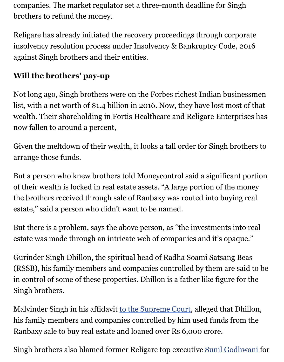insolvency resolution process under Insolvency  $\mathcal{C}$ against Singh brothers and their entities.

## **Will the brothers' pay-up**

Not long ago, Singh brothers were on the Forbes richest Indian busines list, with a net worth of \$1.4 billion in 2016. Now, they have lost most wealth. Their shareholding in Fortis Healthcare and Religare Enterpr now fallen to around a percent,

Given the meltdown of their wealth, it looks a tall order for Singh bro arrange those funds.

But a person who knew brothers told Moneycontrol said a significant of their wealth is locked in real estate assets. "A large portion of the m the brothers received through sale of Ranbaxy was routed into buying estate," said a person who didn't want to be named.

But there is a problem, says the above person, as "the investments into estate was made through an intricate web of companies and it's opaque.

Gurinder Singh Dhillon, the spiritual head of Radha Soami Satsang B (RSSB), his family members and companies controlled by them are said in control of some of these properties. Dhillon is a father like figure for Singh brothers.

Malvinder Singh in his affidavit to the Supreme Court, alleged that Di his family members and companies controlled by him used funds from Ranbaxy sale to buy real estate and loaned over Rs 6,000 crore.

Singh brothers also blamed former Religare top executive Sunil Godh